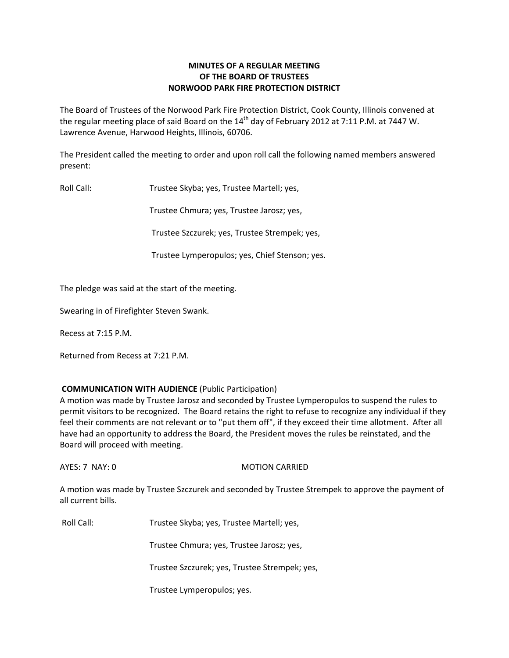# **MINUTES OF A REGULAR MEETING OF THE BOARD OF TRUSTEES NORWOOD PARK FIRE PROTECTION DISTRICT**

The Board of Trustees of the Norwood Park Fire Protection District, Cook County, Illinois convened at the regular meeting place of said Board on the  $14<sup>th</sup>$  day of February 2012 at 7:11 P.M. at 7447 W. Lawrence Avenue, Harwood Heights, Illinois, 60706.

The President called the meeting to order and upon roll call the following named members answered present:

Roll Call: Trustee Skyba; yes, Trustee Martell; yes,

Trustee Chmura; yes, Trustee Jarosz; yes,

Trustee Szczurek; yes, Trustee Strempek; yes,

Trustee Lymperopulos; yes, Chief Stenson; yes.

The pledge was said at the start of the meeting.

Swearing in of Firefighter Steven Swank.

Recess at 7:15 P.M.

Returned from Recess at 7:21 P.M.

### **COMMUNICATION WITH AUDIENCE** (Public Participation)

A motion was made by Trustee Jarosz and seconded by Trustee Lymperopulos to suspend the rules to permit visitors to be recognized. The Board retains the right to refuse to recognize any individual if they feel their comments are not relevant or to "put them off", if they exceed their time allotment. After all have had an opportunity to address the Board, the President moves the rules be reinstated, and the Board will proceed with meeting.

AYES: 7 NAY: 0 MOTION CARRIED

A motion was made by Trustee Szczurek and seconded by Trustee Strempek to approve the payment of all current bills.

Roll Call: Trustee Skyba; yes, Trustee Martell; yes,

Trustee Chmura; yes, Trustee Jarosz; yes,

Trustee Szczurek; yes, Trustee Strempek; yes,

Trustee Lymperopulos; yes.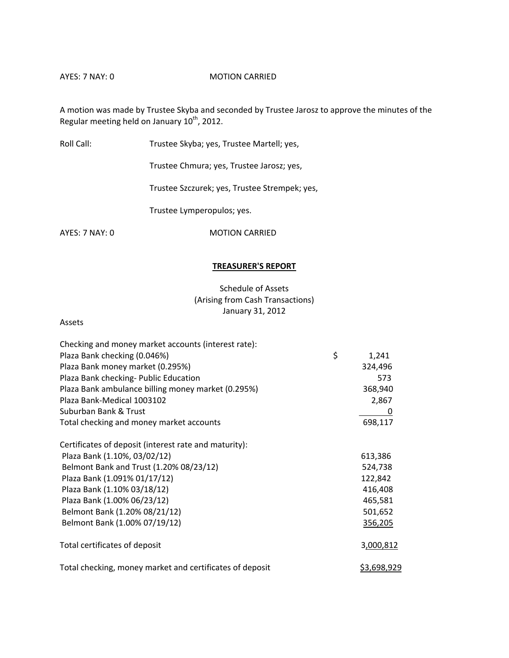### AYES: 7 NAY: 0 MOTION CARRIED

A motion was made by Trustee Skyba and seconded by Trustee Jarosz to approve the minutes of the Regular meeting held on January 10<sup>th</sup>, 2012.

Roll Call: Trustee Skyba; yes, Trustee Martell; yes,

Trustee Chmura; yes, Trustee Jarosz; yes,

Trustee Szczurek; yes, Trustee Strempek; yes,

Trustee Lymperopulos; yes.

AYES: 7 NAY: 0 MOTION CARRIED

### **TREASURER'S REPORT**

# Schedule of Assets (Arising from Cash Transactions) January 31, 2012

#### Assets

| Checking and money market accounts (interest rate):      |                    |
|----------------------------------------------------------|--------------------|
| Plaza Bank checking (0.046%)                             | \$<br>1,241        |
| Plaza Bank money market (0.295%)                         | 324,496            |
| Plaza Bank checking- Public Education                    | 573                |
| Plaza Bank ambulance billing money market (0.295%)       | 368,940            |
| Plaza Bank-Medical 1003102                               | 2,867              |
| Suburban Bank & Trust                                    | 0                  |
| Total checking and money market accounts                 | 698,117            |
| Certificates of deposit (interest rate and maturity):    |                    |
| Plaza Bank (1.10%, 03/02/12)                             | 613,386            |
| Belmont Bank and Trust (1.20% 08/23/12)                  | 524,738            |
| Plaza Bank (1.091% 01/17/12)                             | 122,842            |
| Plaza Bank (1.10% 03/18/12)                              | 416,408            |
| Plaza Bank (1.00% 06/23/12)                              | 465,581            |
| Belmont Bank (1.20% 08/21/12)                            | 501,652            |
| Belmont Bank (1.00% 07/19/12)                            | 356,205            |
| Total certificates of deposit                            | 3,000,812          |
| Total checking, money market and certificates of deposit | <u>\$3,698,929</u> |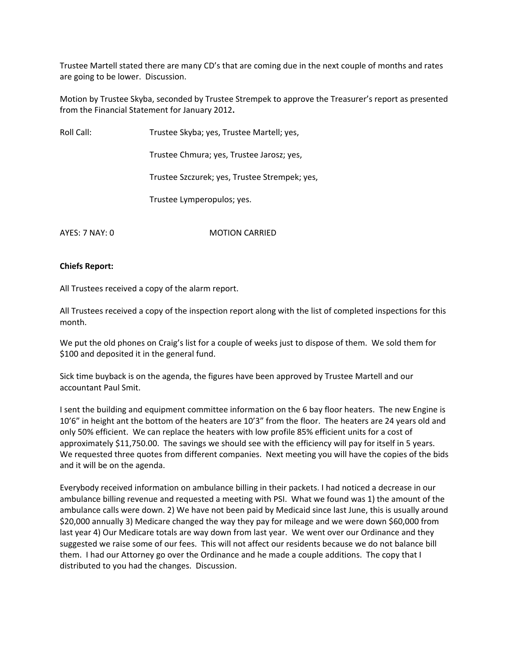Trustee Martell stated there are many CD's that are coming due in the next couple of months and rates are going to be lower. Discussion.

Motion by Trustee Skyba, seconded by Trustee Strempek to approve the Treasurer's report as presented from the Financial Statement for January 2012**.**

Roll Call: Trustee Skyba; yes, Trustee Martell; yes,

Trustee Chmura; yes, Trustee Jarosz; yes,

Trustee Szczurek; yes, Trustee Strempek; yes,

Trustee Lymperopulos; yes.

AYES: 7 NAY: 0 MOTION CARRIED

### **Chiefs Report:**

All Trustees received a copy of the alarm report.

All Trustees received a copy of the inspection report along with the list of completed inspections for this month.

We put the old phones on Craig's list for a couple of weeks just to dispose of them. We sold them for \$100 and deposited it in the general fund.

Sick time buyback is on the agenda, the figures have been approved by Trustee Martell and our accountant Paul Smit.

I sent the building and equipment committee information on the 6 bay floor heaters. The new Engine is 10'6" in height ant the bottom of the heaters are 10'3" from the floor. The heaters are 24 years old and only 50% efficient. We can replace the heaters with low profile 85% efficient units for a cost of approximately \$11,750.00. The savings we should see with the efficiency will pay for itself in 5 years. We requested three quotes from different companies. Next meeting you will have the copies of the bids and it will be on the agenda.

Everybody received information on ambulance billing in their packets. I had noticed a decrease in our ambulance billing revenue and requested a meeting with PSI. What we found was 1) the amount of the ambulance calls were down. 2) We have not been paid by Medicaid since last June, this is usually around \$20,000 annually 3) Medicare changed the way they pay for mileage and we were down \$60,000 from last year 4) Our Medicare totals are way down from last year. We went over our Ordinance and they suggested we raise some of our fees. This will not affect our residents because we do not balance bill them. I had our Attorney go over the Ordinance and he made a couple additions. The copy that I distributed to you had the changes. Discussion.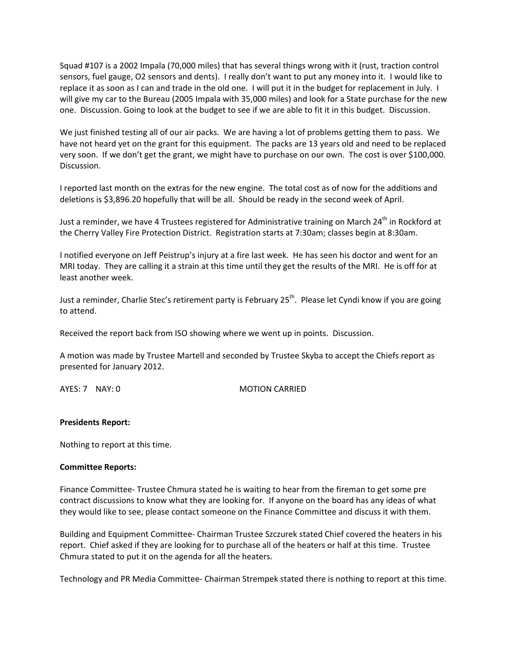Squad #107 is a 2002 Impala (70,000 miles) that has several things wrong with it (rust, traction control sensors, fuel gauge, O2 sensors and dents). I really don't want to put any money into it. I would like to replace it as soon as I can and trade in the old one. I will put it in the budget for replacement in July. I will give my car to the Bureau (2005 Impala with 35,000 miles) and look for a State purchase for the new one. Discussion. Going to look at the budget to see if we are able to fit it in this budget. Discussion.

We just finished testing all of our air packs. We are having a lot of problems getting them to pass. We have not heard yet on the grant for this equipment. The packs are 13 years old and need to be replaced very soon. If we don't get the grant, we might have to purchase on our own. The cost is over \$100,000. Discussion.

I reported last month on the extras for the new engine. The total cost as of now for the additions and deletions is \$3,896.20 hopefully that will be all. Should be ready in the second week of April.

Just a reminder, we have 4 Trustees registered for Administrative training on March 24<sup>th</sup> in Rockford at the Cherry Valley Fire Protection District. Registration starts at 7:30am; classes begin at 8:30am.

I notified everyone on Jeff Peistrup's injury at a fire last week. He has seen his doctor and went for an MRI today. They are calling it a strain at this time until they get the results of the MRI. He is off for at least another week.

Just a reminder, Charlie Stec's retirement party is February 25<sup>th</sup>. Please let Cyndi know if you are going to attend.

Received the report back from ISO showing where we went up in points. Discussion.

A motion was made by Trustee Martell and seconded by Trustee Skyba to accept the Chiefs report as presented for January 2012.

AYES: 7 NAY: 0 MOTION CARRIED

### **Presidents Report:**

Nothing to report at this time.

### **Committee Reports:**

Finance Committee‐ Trustee Chmura stated he is waiting to hear from the fireman to get some pre contract discussions to know what they are looking for. If anyone on the board has any ideas of what they would like to see, please contact someone on the Finance Committee and discuss it with them.

Building and Equipment Committee‐ Chairman Trustee Szczurek stated Chief covered the heaters in his report. Chief asked if they are looking for to purchase all of the heaters or half at this time. Trustee Chmura stated to put it on the agenda for all the heaters.

Technology and PR Media Committee‐ Chairman Strempek stated there is nothing to report at this time.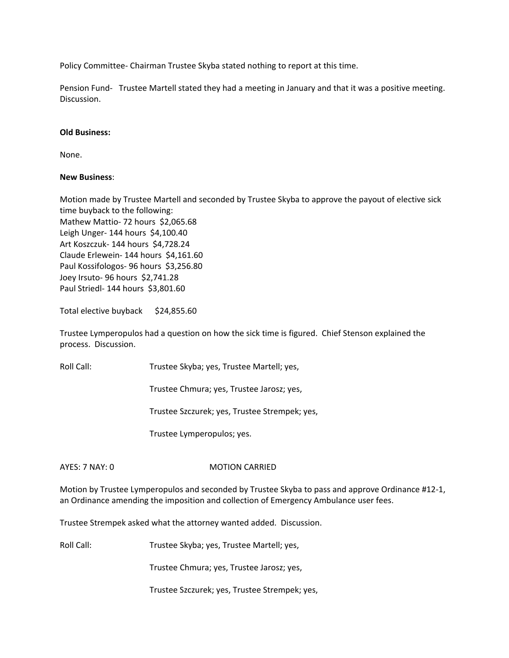Policy Committee‐ Chairman Trustee Skyba stated nothing to report at this time.

Pension Fund- Trustee Martell stated they had a meeting in January and that it was a positive meeting. Discussion.

# **Old Business:**

None.

# **New Business**:

Motion made by Trustee Martell and seconded by Trustee Skyba to approve the payout of elective sick time buyback to the following: Mathew Mattio- 72 hours \$2,065.68 Leigh Unger- 144 hours \$4,100.40 Art Koszczuk‐ 144 hours \$4,728.24 Claude Erlewein‐ 144 hours \$4,161.60 Paul Kossifologos- 96 hours \$3,256.80 Joey Irsuto‐ 96 hours \$2,741.28 Paul Striedl‐ 144 hours \$3,801.60

Total elective buyback \$24,855.60

Trustee Lymperopulos had a question on how the sick time is figured. Chief Stenson explained the process. Discussion.

Roll Call: Trustee Skyba; yes, Trustee Martell; yes,

Trustee Chmura; yes, Trustee Jarosz; yes,

Trustee Szczurek; yes, Trustee Strempek; yes,

Trustee Lymperopulos; yes.

AYES: 7 NAY: 0 MOTION CARRIED

Motion by Trustee Lymperopulos and seconded by Trustee Skyba to pass and approve Ordinance #12‐1, an Ordinance amending the imposition and collection of Emergency Ambulance user fees.

Trustee Strempek asked what the attorney wanted added. Discussion.

Roll Call: Trustee Skyba; yes, Trustee Martell; yes,

Trustee Chmura; yes, Trustee Jarosz; yes,

Trustee Szczurek; yes, Trustee Strempek; yes,